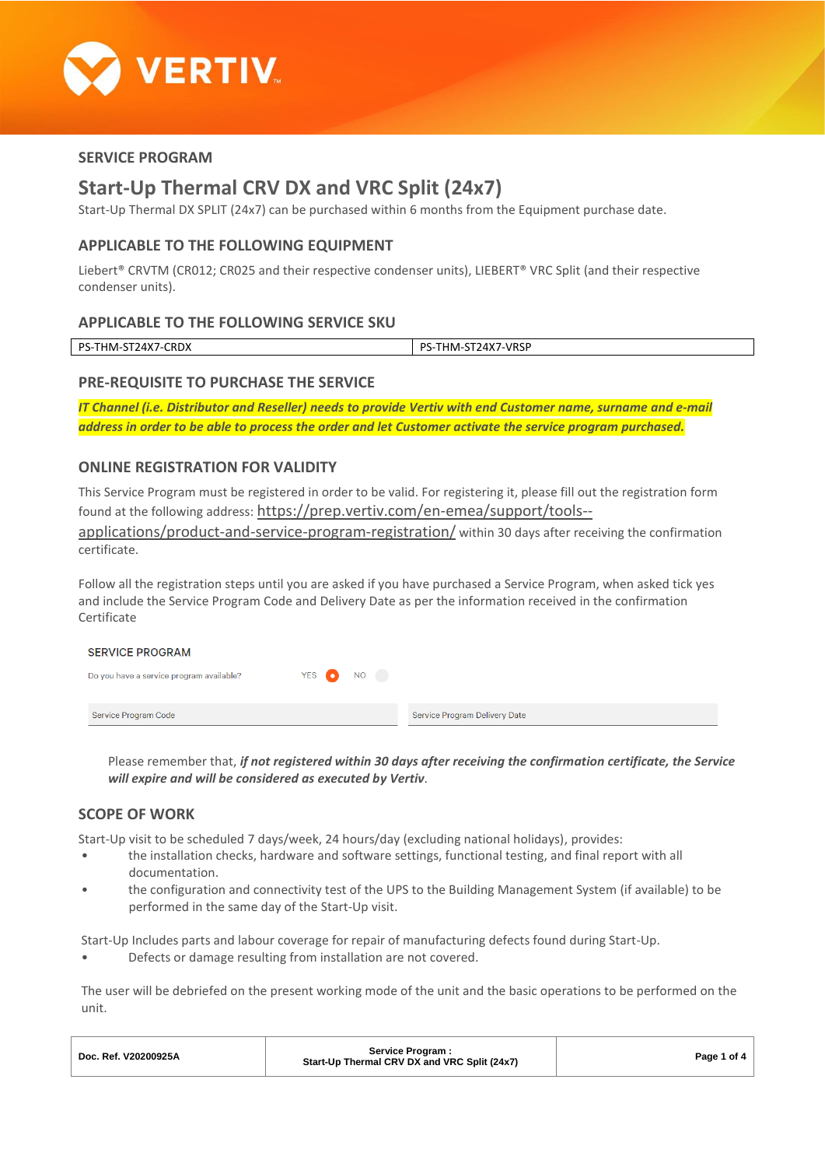

# **SERVICE PROGRAM**

# **Start-Up Thermal CRV DX and VRC Split (24x7)**

Start-Up Thermal DX SPLIT (24x7) can be purchased within 6 months from the Equipment purchase date.

## **APPLICABLE TO THE FOLLOWING EQUIPMENT**

Liebert® CRVTM (CR012; CR025 and their respective condenser units), LIEBERT® VRC Split (and their respective condenser units).

## **APPLICABLE TO THE FOLLOWING SERVICE SKU**

| <b>CRDX</b> | -VRSP           |
|-------------|-----------------|
| PS-         | nc              |
| 24X7        | $J\Delta$ $X$ 7 |
| ∣HM⊦        | HМ·             |
| <u>.</u>    |                 |
| ے ر         | <b>T/1/</b>     |
|             |                 |

# **PRE-REQUISITE TO PURCHASE THE SERVICE**

*IT Channel (i.e. Distributor and Reseller) needs to provide Vertiv with end Customer name, surname and e-mail address in order to be able to process the order and let Customer activate the service program purchased.*

# **ONLINE REGISTRATION FOR VALIDITY**

This Service Program must be registered in order to be valid. For registering it, please fill out the registration form found at the following address: [https://prep.vertiv.com/en-emea/support/tools-](https://prep.vertiv.com/en-emea/support/tools--applications/product-and-service-program-registration/) [applications/product-and-service-program-registration/](https://prep.vertiv.com/en-emea/support/tools--applications/product-and-service-program-registration/) within 30 days after receiving the confirmation certificate.

Follow all the registration steps until you are asked if you have purchased a Service Program, when asked tick yes and include the Service Program Code and Delivery Date as per the information received in the confirmation Certificate

#### **SERVICE PROGRAM** YES <sup>1</sup> Do you have a service program available? NO<sub>1</sub> Service Program Code Service Program Delivery Date

Please remember that, *if not registered within 30 days after receiving the confirmation certificate, the Service will expire and will be considered as executed by Vertiv*.

# **SCOPE OF WORK**

Start-Up visit to be scheduled 7 days/week, 24 hours/day (excluding national holidays), provides:

- the installation checks, hardware and software settings, functional testing, and final report with all documentation.
- the configuration and connectivity test of the UPS to the Building Management System (if available) to be performed in the same day of the Start-Up visit.

Start-Up Includes parts and labour coverage for repair of manufacturing defects found during Start-Up.

• Defects or damage resulting from installation are not covered.

The user will be debriefed on the present working mode of the unit and the basic operations to be performed on the unit.

| Doc. Ref. V20200925A | Service Program :<br>Start-Up Thermal CRV DX and VRC Split (24x7) | Page 1 of 4 |
|----------------------|-------------------------------------------------------------------|-------------|
|----------------------|-------------------------------------------------------------------|-------------|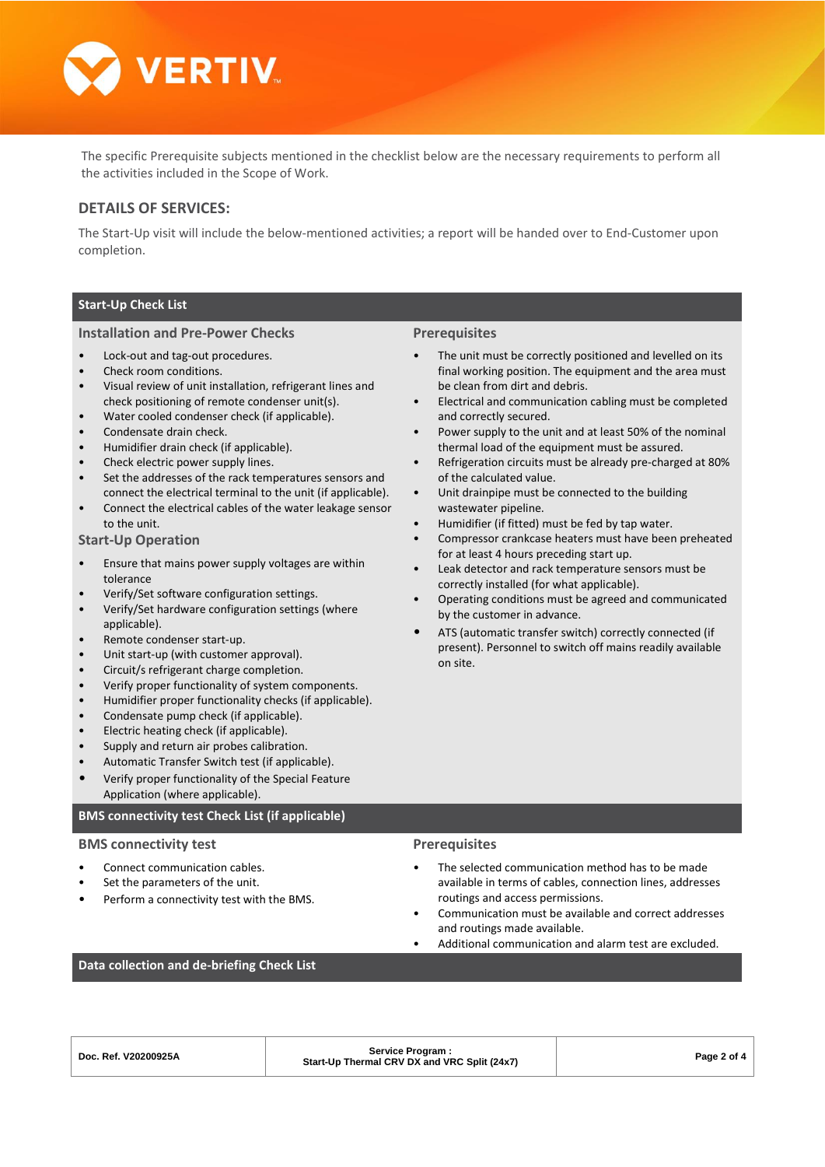

The specific Prerequisite subjects mentioned in the checklist below are the necessary requirements to perform all the activities included in the Scope of Work.

## **DETAILS OF SERVICES:**

The Start-Up visit will include the below-mentioned activities; a report will be handed over to End-Customer upon completion.

## **Start-Up Check List**

#### **Installation and Pre-Power Checks**

- Lock-out and tag-out procedures.
- Check room conditions.
- Visual review of unit installation, refrigerant lines and check positioning of remote condenser unit(s).
- Water cooled condenser check (if applicable).
- Condensate drain check.
- Humidifier drain check (if applicable).
- Check electric power supply lines.
- Set the addresses of the rack temperatures sensors and connect the electrical terminal to the unit (if applicable).
- Connect the electrical cables of the water leakage sensor to the unit.

#### **Start-Up Operation**

- Ensure that mains power supply voltages are within tolerance
- Verify/Set software configuration settings.
- Verify/Set hardware configuration settings (where applicable).
- Remote condenser start-up.
- Unit start-up (with customer approval).
- Circuit/s refrigerant charge completion.
- Verify proper functionality of system components.
- Humidifier proper functionality checks (if applicable).
- Condensate pump check (if applicable).
- Electric heating check (if applicable).
- Supply and return air probes calibration.
- Automatic Transfer Switch test (if applicable).
- Verify proper functionality of the Special Feature Application (where applicable).

#### **BMS connectivity test Check List (if applicable)**

#### **BMS connectivity test**

- Connect communication cables.
- Set the parameters of the unit.
- Perform a connectivity test with the BMS.

#### **Prerequisites**

- The unit must be correctly positioned and levelled on its final working position. The equipment and the area must be clean from dirt and debris.
- Electrical and communication cabling must be completed and correctly secured.
- Power supply to the unit and at least 50% of the nominal thermal load of the equipment must be assured.
- Refrigeration circuits must be already pre-charged at 80% of the calculated value.
- Unit drainpipe must be connected to the building wastewater pipeline.
- Humidifier (if fitted) must be fed by tap water.
- Compressor crankcase heaters must have been preheated for at least 4 hours preceding start up.
- Leak detector and rack temperature sensors must be correctly installed (for what applicable).
- Operating conditions must be agreed and communicated by the customer in advance.
- ATS (automatic transfer switch) correctly connected (if present). Personnel to switch off mains readily available on site.

### **Prerequisites**

- The selected communication method has to be made available in terms of cables, connection lines, addresses routings and access permissions.
- Communication must be available and correct addresses and routings made available.
- Additional communication and alarm test are excluded.

## **Data collection and de-briefing Check List**

| Doc. Ref. V20200925A |  |
|----------------------|--|
|                      |  |

# **Service Program : Start-Up Thermal CRV DX and VRC Split (24x7) Page 2 of 4**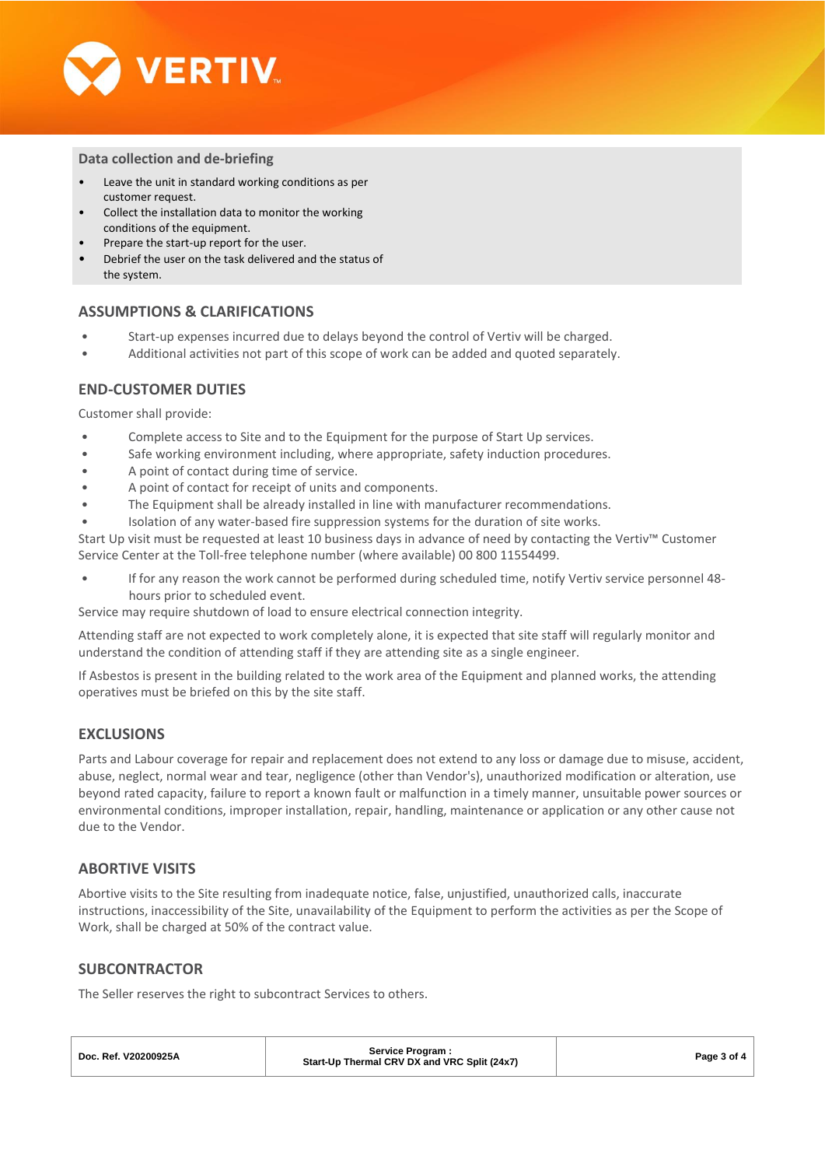

### **Data collection and de-briefing**

- Leave the unit in standard working conditions as per customer request.
- Collect the installation data to monitor the working conditions of the equipment.
- Prepare the start-up report for the user.
- Debrief the user on the task delivered and the status of the system.

## **ASSUMPTIONS & CLARIFICATIONS**

- Start-up expenses incurred due to delays beyond the control of Vertiv will be charged.
- Additional activities not part of this scope of work can be added and quoted separately.

# **END-CUSTOMER DUTIES**

Customer shall provide:

- Complete access to Site and to the Equipment for the purpose of Start Up services.
- Safe working environment including, where appropriate, safety induction procedures.
- A point of contact during time of service.
- A point of contact for receipt of units and components.
- The Equipment shall be already installed in line with manufacturer recommendations.
- Isolation of any water-based fire suppression systems for the duration of site works.

Start Up visit must be requested at least 10 business days in advance of need by contacting the Vertiv™ Customer Service Center at the Toll-free telephone number (where available) 00 800 11554499.

• If for any reason the work cannot be performed during scheduled time, notify Vertiv service personnel 48 hours prior to scheduled event.

Service may require shutdown of load to ensure electrical connection integrity.

Attending staff are not expected to work completely alone, it is expected that site staff will regularly monitor and understand the condition of attending staff if they are attending site as a single engineer.

If Asbestos is present in the building related to the work area of the Equipment and planned works, the attending operatives must be briefed on this by the site staff.

# **EXCLUSIONS**

Parts and Labour coverage for repair and replacement does not extend to any loss or damage due to misuse, accident, abuse, neglect, normal wear and tear, negligence (other than Vendor's), unauthorized modification or alteration, use beyond rated capacity, failure to report a known fault or malfunction in a timely manner, unsuitable power sources or environmental conditions, improper installation, repair, handling, maintenance or application or any other cause not due to the Vendor.

## **ABORTIVE VISITS**

Abortive visits to the Site resulting from inadequate notice, false, unjustified, unauthorized calls, inaccurate instructions, inaccessibility of the Site, unavailability of the Equipment to perform the activities as per the Scope of Work, shall be charged at 50% of the contract value.

## **SUBCONTRACTOR**

The Seller reserves the right to subcontract Services to others.

| Doc. Ref. V20200925A | <b>Service Program:</b><br>Start-Up Thermal CRV DX and VRC Split (24x7) | Page 3 of 4 |
|----------------------|-------------------------------------------------------------------------|-------------|
|                      |                                                                         |             |